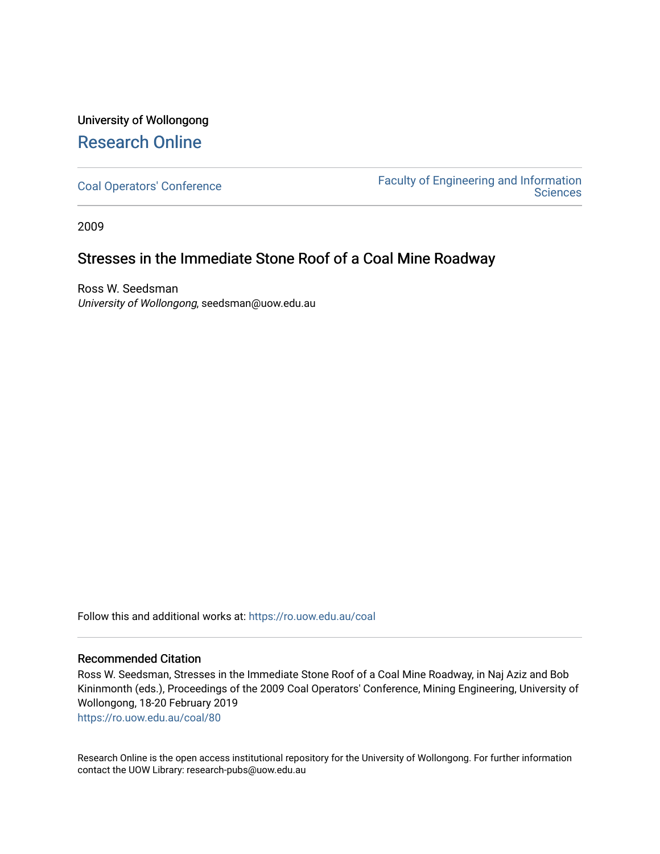## University of Wollongong [Research Online](https://ro.uow.edu.au/)

[Coal Operators' Conference](https://ro.uow.edu.au/coal) [Faculty of Engineering and Information](https://ro.uow.edu.au/eis)  **Sciences** 

2009

## Stresses in the Immediate Stone Roof of a Coal Mine Roadway

Ross W. Seedsman University of Wollongong, seedsman@uow.edu.au

Follow this and additional works at: [https://ro.uow.edu.au/coal](https://ro.uow.edu.au/coal?utm_source=ro.uow.edu.au%2Fcoal%2F80&utm_medium=PDF&utm_campaign=PDFCoverPages) 

#### Recommended Citation

Ross W. Seedsman, Stresses in the Immediate Stone Roof of a Coal Mine Roadway, in Naj Aziz and Bob Kininmonth (eds.), Proceedings of the 2009 Coal Operators' Conference, Mining Engineering, University of Wollongong, 18-20 February 2019

[https://ro.uow.edu.au/coal/80](https://ro.uow.edu.au/coal/80?utm_source=ro.uow.edu.au%2Fcoal%2F80&utm_medium=PDF&utm_campaign=PDFCoverPages) 

Research Online is the open access institutional repository for the University of Wollongong. For further information contact the UOW Library: research-pubs@uow.edu.au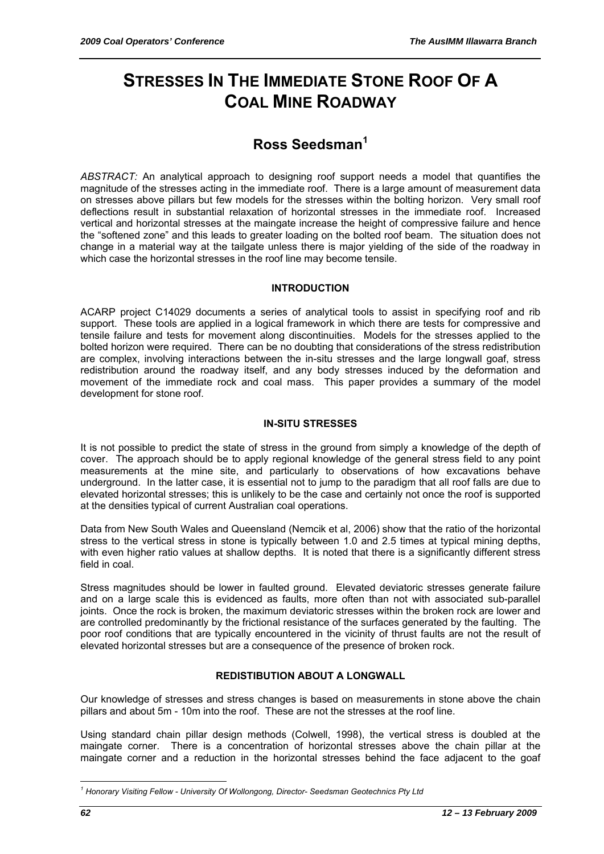# **STRESSES IN THE IMMEDIATE STONE ROOF OF A COAL MINE ROADWAY**

## **Ross Seedsman<sup>1</sup>**

*ABSTRACT:* An analytical approach to designing roof support needs a model that quantifies the magnitude of the stresses acting in the immediate roof. There is a large amount of measurement data on stresses above pillars but few models for the stresses within the bolting horizon. Very small roof deflections result in substantial relaxation of horizontal stresses in the immediate roof. Increased vertical and horizontal stresses at the maingate increase the height of compressive failure and hence the "softened zone" and this leads to greater loading on the bolted roof beam. The situation does not change in a material way at the tailgate unless there is major yielding of the side of the roadway in which case the horizontal stresses in the roof line may become tensile.

#### **INTRODUCTION**

ACARP project C14029 documents a series of analytical tools to assist in specifying roof and rib support. These tools are applied in a logical framework in which there are tests for compressive and tensile failure and tests for movement along discontinuities. Models for the stresses applied to the bolted horizon were required. There can be no doubting that considerations of the stress redistribution are complex, involving interactions between the in-situ stresses and the large longwall goaf, stress redistribution around the roadway itself, and any body stresses induced by the deformation and movement of the immediate rock and coal mass. This paper provides a summary of the model development for stone roof.

#### **IN-SITU STRESSES**

It is not possible to predict the state of stress in the ground from simply a knowledge of the depth of cover. The approach should be to apply regional knowledge of the general stress field to any point measurements at the mine site, and particularly to observations of how excavations behave underground. In the latter case, it is essential not to jump to the paradigm that all roof falls are due to elevated horizontal stresses; this is unlikely to be the case and certainly not once the roof is supported at the densities typical of current Australian coal operations.

Data from New South Wales and Queensland (Nemcik et al, 2006) show that the ratio of the horizontal stress to the vertical stress in stone is typically between 1.0 and 2.5 times at typical mining depths, with even higher ratio values at shallow depths. It is noted that there is a significantly different stress field in coal.

Stress magnitudes should be lower in faulted ground. Elevated deviatoric stresses generate failure and on a large scale this is evidenced as faults, more often than not with associated sub-parallel joints. Once the rock is broken, the maximum deviatoric stresses within the broken rock are lower and are controlled predominantly by the frictional resistance of the surfaces generated by the faulting. The poor roof conditions that are typically encountered in the vicinity of thrust faults are not the result of elevated horizontal stresses but are a consequence of the presence of broken rock.

### **REDISTIBUTION ABOUT A LONGWALL**

Our knowledge of stresses and stress changes is based on measurements in stone above the chain pillars and about 5m - 10m into the roof. These are not the stresses at the roof line.

Using standard chain pillar design methods (Colwell, 1998), the vertical stress is doubled at the maingate corner. There is a concentration of horizontal stresses above the chain pillar at the maingate corner and a reduction in the horizontal stresses behind the face adjacent to the goaf

 $\overline{a}$ <sup>1</sup> Honorary Visiting Fellow - University Of Wollongong, Director- Seedsman Geotechnics Pty Ltd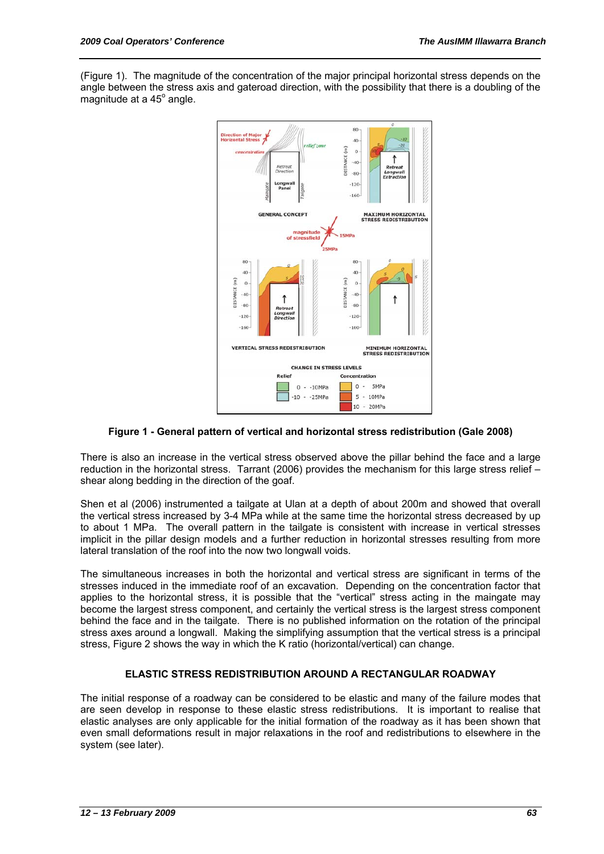(Figure 1). The magnitude of the concentration of the major principal horizontal stress depends on the angle between the stress axis and gateroad direction, with the possibility that there is a doubling of the  $mag$ nitude at a 45 $^{\circ}$  angle.



#### **Figure 1 - General pattern of vertical and horizontal stress redistribution (Gale 2008)**

There is also an increase in the vertical stress observed above the pillar behind the face and a large reduction in the horizontal stress. Tarrant (2006) provides the mechanism for this large stress relief – shear along bedding in the direction of the goaf.

Shen et al (2006) instrumented a tailgate at Ulan at a depth of about 200m and showed that overall the vertical stress increased by 3-4 MPa while at the same time the horizontal stress decreased by up to about 1 MPa. The overall pattern in the tailgate is consistent with increase in vertical stresses implicit in the pillar design models and a further reduction in horizontal stresses resulting from more lateral translation of the roof into the now two longwall voids.

The simultaneous increases in both the horizontal and vertical stress are significant in terms of the stresses induced in the immediate roof of an excavation. Depending on the concentration factor that applies to the horizontal stress, it is possible that the "vertical" stress acting in the maingate may become the largest stress component, and certainly the vertical stress is the largest stress component behind the face and in the tailgate. There is no published information on the rotation of the principal stress axes around a longwall. Making the simplifying assumption that the vertical stress is a principal stress, Figure 2 shows the way in which the K ratio (horizontal/vertical) can change.

#### **ELASTIC STRESS REDISTRIBUTION AROUND A RECTANGULAR ROADWAY**

The initial response of a roadway can be considered to be elastic and many of the failure modes that are seen develop in response to these elastic stress redistributions. It is important to realise that elastic analyses are only applicable for the initial formation of the roadway as it has been shown that even small deformations result in major relaxations in the roof and redistributions to elsewhere in the system (see later).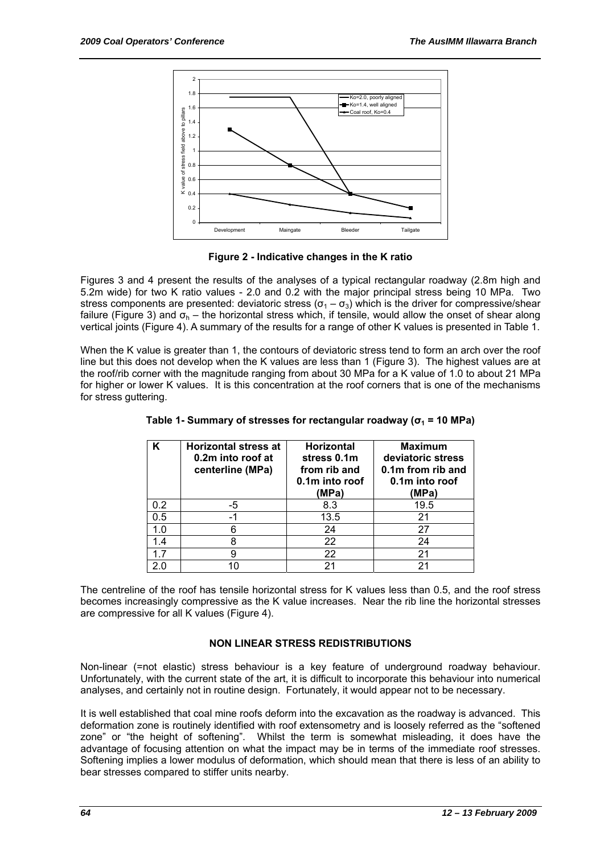

**Figure 2 - Indicative changes in the K ratio** 

Figures 3 and 4 present the results of the analyses of a typical rectangular roadway (2.8m high and 5.2m wide) for two K ratio values - 2.0 and 0.2 with the major principal stress being 10 MPa. Two stress components are presented: deviatoric stress ( $\sigma_1 - \sigma_3$ ) which is the driver for compressive/shear failure (Figure 3) and  $\sigma_h$  – the horizontal stress which, if tensile, would allow the onset of shear along vertical joints (Figure 4). A summary of the results for a range of other K values is presented in Table 1.

When the K value is greater than 1, the contours of deviatoric stress tend to form an arch over the roof line but this does not develop when the K values are less than 1 (Figure 3). The highest values are at the roof/rib corner with the magnitude ranging from about 30 MPa for a K value of 1.0 to about 21 MPa for higher or lower K values. It is this concentration at the roof corners that is one of the mechanisms for stress guttering.

| Κ   | <b>Horizontal stress at</b><br>0.2m into roof at<br>centerline (MPa) | <b>Horizontal</b><br>stress 0.1m<br>from rib and<br>0.1m into roof<br>(MPa) | <b>Maximum</b><br>deviatoric stress<br>0.1m from rib and<br>0.1m into roof<br>(MPa) |
|-----|----------------------------------------------------------------------|-----------------------------------------------------------------------------|-------------------------------------------------------------------------------------|
| 0.2 | -5                                                                   | 8.3                                                                         | 19.5                                                                                |
| 0.5 |                                                                      | 13.5                                                                        | 21                                                                                  |
| 1.0 | 6                                                                    | 24                                                                          | 27                                                                                  |
| 1.4 | 8                                                                    | 22                                                                          | 24                                                                                  |
| 17  | g                                                                    | 22                                                                          | 21                                                                                  |
| 2 በ | 10                                                                   | 21                                                                          | 21                                                                                  |

**Table 1- Summary of stresses for rectangular roadway (σ1 = 10 MPa)** 

The centreline of the roof has tensile horizontal stress for K values less than 0.5, and the roof stress becomes increasingly compressive as the K value increases. Near the rib line the horizontal stresses are compressive for all K values (Figure 4).

#### **NON LINEAR STRESS REDISTRIBUTIONS**

Non-linear (=not elastic) stress behaviour is a key feature of underground roadway behaviour. Unfortunately, with the current state of the art, it is difficult to incorporate this behaviour into numerical analyses, and certainly not in routine design. Fortunately, it would appear not to be necessary.

It is well established that coal mine roofs deform into the excavation as the roadway is advanced. This deformation zone is routinely identified with roof extensometry and is loosely referred as the "softened zone" or "the height of softening". Whilst the term is somewhat misleading, it does have the advantage of focusing attention on what the impact may be in terms of the immediate roof stresses. Softening implies a lower modulus of deformation, which should mean that there is less of an ability to bear stresses compared to stiffer units nearby.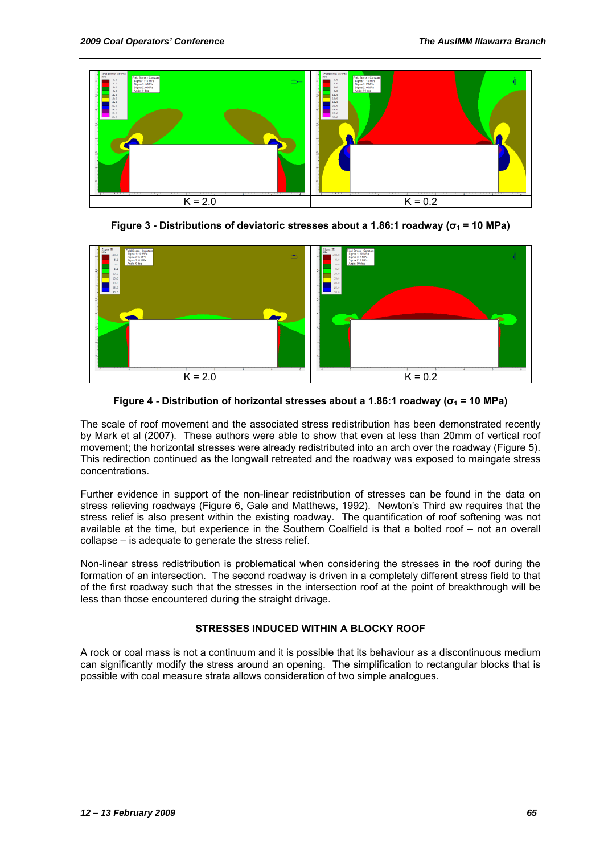

**Figure 3 - Distributions of deviatoric stresses about a 1.86:1 roadway (σ1 = 10 MPa)** 



**Figure 4 - Distribution of horizontal stresses about a 1.86:1 roadway (σ1 = 10 MPa)** 

The scale of roof movement and the associated stress redistribution has been demonstrated recently by Mark et al (2007). These authors were able to show that even at less than 20mm of vertical roof movement; the horizontal stresses were already redistributed into an arch over the roadway (Figure 5). This redirection continued as the longwall retreated and the roadway was exposed to maingate stress concentrations.

Further evidence in support of the non-linear redistribution of stresses can be found in the data on stress relieving roadways (Figure 6, Gale and Matthews, 1992). Newton's Third aw requires that the stress relief is also present within the existing roadway. The quantification of roof softening was not available at the time, but experience in the Southern Coalfield is that a bolted roof – not an overall collapse – is adequate to generate the stress relief.

Non-linear stress redistribution is problematical when considering the stresses in the roof during the formation of an intersection. The second roadway is driven in a completely different stress field to that of the first roadway such that the stresses in the intersection roof at the point of breakthrough will be less than those encountered during the straight drivage.

### **STRESSES INDUCED WITHIN A BLOCKY ROOF**

A rock or coal mass is not a continuum and it is possible that its behaviour as a discontinuous medium can significantly modify the stress around an opening. The simplification to rectangular blocks that is possible with coal measure strata allows consideration of two simple analogues.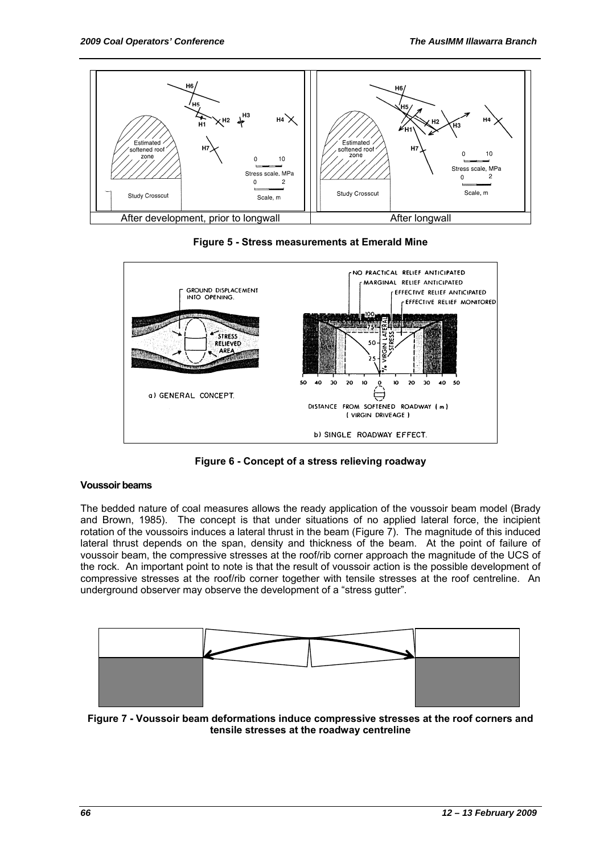





**Figure 6 - Concept of a stress relieving roadway** 

#### **Voussoir beams**

The bedded nature of coal measures allows the ready application of the voussoir beam model (Brady and Brown, 1985). The concept is that under situations of no applied lateral force, the incipient rotation of the voussoirs induces a lateral thrust in the beam (Figure 7). The magnitude of this induced lateral thrust depends on the span, density and thickness of the beam. At the point of failure of voussoir beam, the compressive stresses at the roof/rib corner approach the magnitude of the UCS of the rock. An important point to note is that the result of voussoir action is the possible development of compressive stresses at the roof/rib corner together with tensile stresses at the roof centreline. An underground observer may observe the development of a "stress gutter".



**Figure 7 - Voussoir beam deformations induce compressive stresses at the roof corners and tensile stresses at the roadway centreline**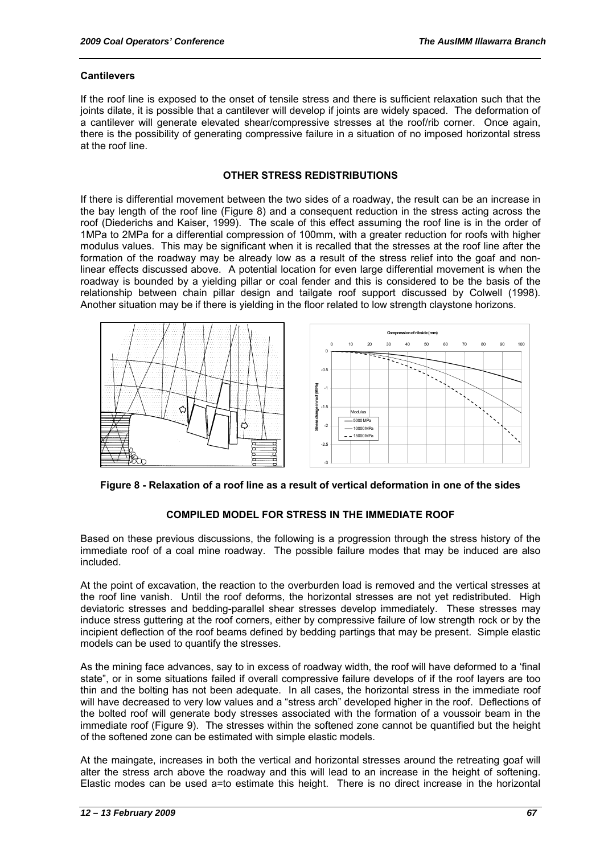#### **Cantilevers**

If the roof line is exposed to the onset of tensile stress and there is sufficient relaxation such that the joints dilate, it is possible that a cantilever will develop if joints are widely spaced. The deformation of a cantilever will generate elevated shear/compressive stresses at the roof/rib corner. Once again, there is the possibility of generating compressive failure in a situation of no imposed horizontal stress at the roof line.

#### **OTHER STRESS REDISTRIBUTIONS**

If there is differential movement between the two sides of a roadway, the result can be an increase in the bay length of the roof line (Figure 8) and a consequent reduction in the stress acting across the roof (Diederichs and Kaiser, 1999). The scale of this effect assuming the roof line is in the order of 1MPa to 2MPa for a differential compression of 100mm, with a greater reduction for roofs with higher modulus values. This may be significant when it is recalled that the stresses at the roof line after the formation of the roadway may be already low as a result of the stress relief into the goaf and nonlinear effects discussed above. A potential location for even large differential movement is when the roadway is bounded by a yielding pillar or coal fender and this is considered to be the basis of the relationship between chain pillar design and tailgate roof support discussed by Colwell (1998). Another situation may be if there is yielding in the floor related to low strength claystone horizons.



**Figure 8 - Relaxation of a roof line as a result of vertical deformation in one of the sides** 

#### **COMPILED MODEL FOR STRESS IN THE IMMEDIATE ROOF**

Based on these previous discussions, the following is a progression through the stress history of the immediate roof of a coal mine roadway. The possible failure modes that may be induced are also included.

At the point of excavation, the reaction to the overburden load is removed and the vertical stresses at the roof line vanish. Until the roof deforms, the horizontal stresses are not yet redistributed. High deviatoric stresses and bedding-parallel shear stresses develop immediately. These stresses may induce stress guttering at the roof corners, either by compressive failure of low strength rock or by the incipient deflection of the roof beams defined by bedding partings that may be present. Simple elastic models can be used to quantify the stresses.

As the mining face advances, say to in excess of roadway width, the roof will have deformed to a 'final state", or in some situations failed if overall compressive failure develops of if the roof layers are too thin and the bolting has not been adequate. In all cases, the horizontal stress in the immediate roof will have decreased to very low values and a "stress arch" developed higher in the roof. Deflections of the bolted roof will generate body stresses associated with the formation of a voussoir beam in the immediate roof (Figure 9). The stresses within the softened zone cannot be quantified but the height of the softened zone can be estimated with simple elastic models.

At the maingate, increases in both the vertical and horizontal stresses around the retreating goaf will alter the stress arch above the roadway and this will lead to an increase in the height of softening. Elastic modes can be used a=to estimate this height. There is no direct increase in the horizontal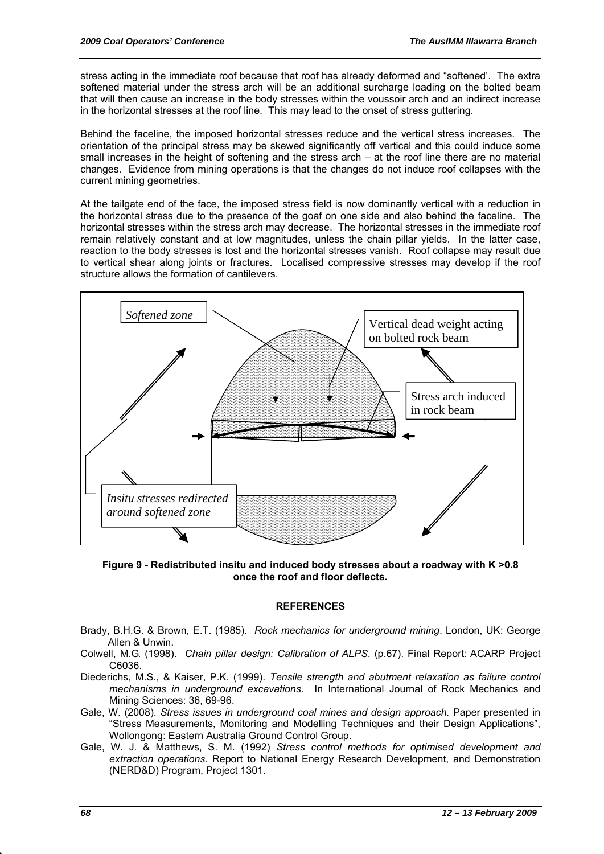stress acting in the immediate roof because that roof has already deformed and "softened'. The extra softened material under the stress arch will be an additional surcharge loading on the bolted beam that will then cause an increase in the body stresses within the voussoir arch and an indirect increase in the horizontal stresses at the roof line. This may lead to the onset of stress guttering.

Behind the faceline, the imposed horizontal stresses reduce and the vertical stress increases. The orientation of the principal stress may be skewed significantly off vertical and this could induce some small increases in the height of softening and the stress arch – at the roof line there are no material changes. Evidence from mining operations is that the changes do not induce roof collapses with the current mining geometries.

At the tailgate end of the face, the imposed stress field is now dominantly vertical with a reduction in the horizontal stress due to the presence of the goaf on one side and also behind the faceline. The horizontal stresses within the stress arch may decrease. The horizontal stresses in the immediate roof remain relatively constant and at low magnitudes, unless the chain pillar yields. In the latter case, reaction to the body stresses is lost and the horizontal stresses vanish. Roof collapse may result due to vertical shear along joints or fractures. Localised compressive stresses may develop if the roof structure allows the formation of cantilevers.



**Figure 9 - Redistributed insitu and induced body stresses about a roadway with K >0.8 once the roof and floor deflects.** 

#### **REFERENCES**

- Brady, B.H.G. & Brown, E.T. (1985). *Rock mechanics for underground mining*. London, UK: George Allen & Unwin.
- Colwell, M.G. (1998). *Chain pillar design: Calibration of ALPS*. (p.67). Final Report: ACARP Project C6036.
- Diederichs, M.S., & Kaiser, P.K. (1999). *Tensile strength and abutment relaxation as failure control mechanisms in underground excavations.* In International Journal of Rock Mechanics and Mining Sciences: 36, 69-96.
- Gale, W. (2008). *Stress issues in underground coal mines and design approach.* Paper presented in "Stress Measurements, Monitoring and Modelling Techniques and their Design Applications", Wollongong: Eastern Australia Ground Control Group.
- Gale, W. J. & Matthews, S. M. (1992) *Stress control methods for optimised development and extraction operations.* Report to National Energy Research Development, and Demonstration (NERD&D) Program, Project 1301.